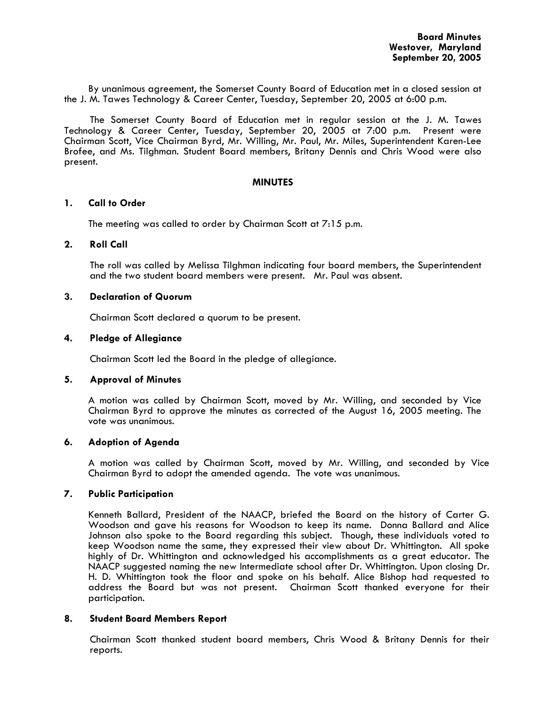By unanimous agreement, the Somerset County Board of Education met in a closed session at the J. M. Tawes Technology & Career Center, Tuesday, September 20, 2005 at 6:00 p.m.

The Somerset County Board of Education met in regular session at the J. M. Tawes Technology & Career Center, Tuesday, September 20, 2005 at 7:00 p.m. Present were Chairman Scott, Vice Chairman Byrd, Mr. Willing, Mr. Paul, Mr. Miles, Superintendent Karen-Lee Brofee, and Ms. Tilghman. Student Board members, Britany Dennis and Chris Wood were also present.

#### **MINUTES**

## **1. Call to Order**

The meeting was called to order by Chairman Scott at 7:15 p.m.

### **2. Roll Call**

The roll was called by Melissa Tilghman indicating four board members, the Superintendent and the two student board members were present. Mr. Paul was absent.

### **3. Declaration of Quorum**

Chairman Scott declared a quorum to be present.

# **4. Pledge of Allegiance**

Chairman Scott led the Board in the pledge of allegiance.

#### **5. Approval of Minutes**

 A motion was called by Chairman Scott, moved by Mr. Willing, and seconded by Vice Chairman Byrd to approve the minutes as corrected of the August 16, 2005 meeting. The vote was unanimous.

#### **6. Adoption of Agenda**

A motion was called by Chairman Scott, moved by Mr. Willing, and seconded by Vice Chairman Byrd to adopt the amended agenda. The vote was unanimous.

#### **7. Public Participation**

 Kenneth Ballard, President of the NAACP, briefed the Board on the history of Carter G. Woodson and gave his reasons for Woodson to keep its name. Donna Ballard and Alice Johnson also spoke to the Board regarding this subject. Though, these individuals voted to keep Woodson name the same, they expressed their view about Dr. Whittington. All spoke highly of Dr. Whittington and acknowledged his accomplishments as a great educator. The NAACP suggested naming the new Intermediate school after Dr. Whittington. Upon closing Dr. H. D. Whittington took the floor and spoke on his behalf. Alice Bishop had requested to address the Board but was not present. Chairman Scott thanked everyone for their participation.

#### **8. Student Board Members Report**

Chairman Scott thanked student board members, Chris Wood & Britany Dennis for their reports.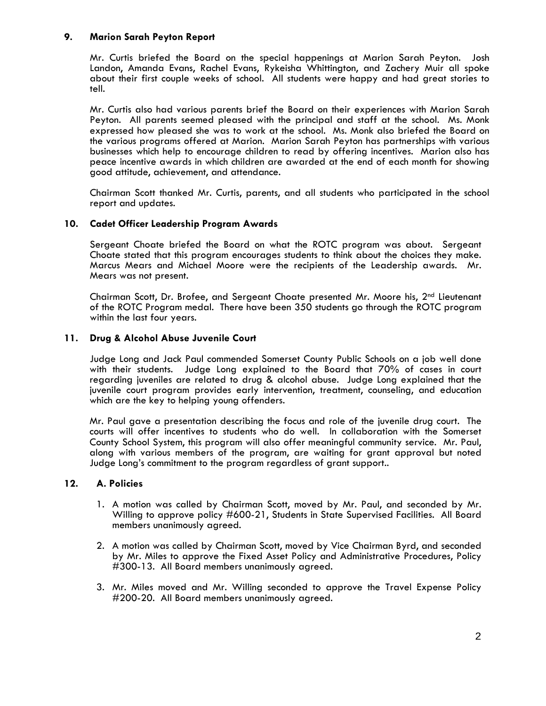# **9. Marion Sarah Peyton Report**

Mr. Curtis briefed the Board on the special happenings at Marion Sarah Peyton. Josh Landon, Amanda Evans, Rachel Evans, Rykeisha Whittington, and Zachery Muir all spoke about their first couple weeks of school. All students were happy and had great stories to tell.

Mr. Curtis also had various parents brief the Board on their experiences with Marion Sarah Peyton. All parents seemed pleased with the principal and staff at the school. Ms. Monk expressed how pleased she was to work at the school. Ms. Monk also briefed the Board on the various programs offered at Marion. Marion Sarah Peyton has partnerships with various businesses which help to encourage children to read by offering incentives. Marion also has peace incentive awards in which children are awarded at the end of each month for showing good attitude, achievement, and attendance.

Chairman Scott thanked Mr. Curtis, parents, and all students who participated in the school report and updates.

# **10. Cadet Officer Leadership Program Awards**

Sergeant Choate briefed the Board on what the ROTC program was about. Sergeant Choate stated that this program encourages students to think about the choices they make. Marcus Mears and Michael Moore were the recipients of the Leadership awards. Mr. Mears was not present.

Chairman Scott, Dr. Brofee, and Sergeant Choate presented Mr. Moore his, 2nd Lieutenant of the ROTC Program medal. There have been 350 students go through the ROTC program within the last four years.

# **11. Drug & Alcohol Abuse Juvenile Court**

Judge Long and Jack Paul commended Somerset County Public Schools on a job well done with their students. Judge Long explained to the Board that 70% of cases in court regarding juveniles are related to drug & alcohol abuse. Judge Long explained that the juvenile court program provides early intervention, treatment, counseling, and education which are the key to helping young offenders.

Mr. Paul gave a presentation describing the focus and role of the juvenile drug court. The courts will offer incentives to students who do well. In collaboration with the Somerset County School System, this program will also offer meaningful community service. Mr. Paul, along with various members of the program, are waiting for grant approval but noted Judge Long's commitment to the program regardless of grant support..

# **12. A. Policies**

- 1. A motion was called by Chairman Scott, moved by Mr. Paul, and seconded by Mr. Willing to approve policy #600-21, Students in State Supervised Facilities. All Board members unanimously agreed.
- 2. A motion was called by Chairman Scott, moved by Vice Chairman Byrd, and seconded by Mr. Miles to approve the Fixed Asset Policy and Administrative Procedures, Policy #300-13. All Board members unanimously agreed.
- 3. Mr. Miles moved and Mr. Willing seconded to approve the Travel Expense Policy #200-20. All Board members unanimously agreed.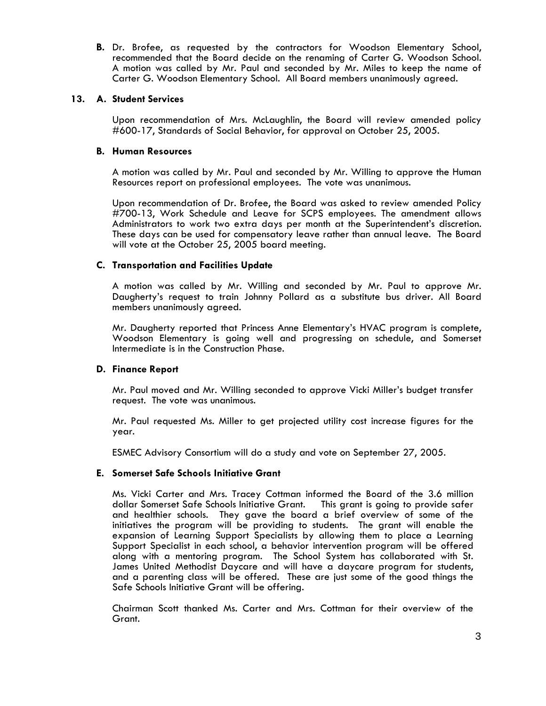**B.** Dr. Brofee, as requested by the contractors for Woodson Elementary School, recommended that the Board decide on the renaming of Carter G. Woodson School. A motion was called by Mr. Paul and seconded by Mr. Miles to keep the name of Carter G. Woodson Elementary School. All Board members unanimously agreed.

### **13. A. Student Services**

Upon recommendation of Mrs. McLaughlin, the Board will review amended policy #600-17, Standards of Social Behavior, for approval on October 25, 2005.

## **B. Human Resources**

A motion was called by Mr. Paul and seconded by Mr. Willing to approve the Human Resources report on professional employees. The vote was unanimous.<br>Upon recommendation of Dr. Brofee, the Board was asked to review amended Policy

#700-13, Work Schedule and Leave for SCPS employees. The amendment allows Administrators to work two extra days per month at the Superintendent's discretion. These days can be used for compensatory leave rather than annual leave. The Board will vote at the October 25, 2005 board meeting.

# **C. Transportation and Facilities Update**

A motion was called by Mr. Willing and seconded by Mr. Paul to approve Mr. Daugherty's request to train Johnny Pollard as a substitute bus driver. All Board members unanimously agreed.

Mr. Daugherty reported that Princess Anne Elementary's HVAC program is complete, Woodson Elementary is going well and progressing on schedule, and Somerset Intermediate is in the Construction Phase.

# **D. Finance Report**

Mr. Paul moved and Mr. Willing seconded to approve Vicki Miller's budget transfer request. The vote was unanimous.

Mr. Paul requested Ms. Miller to get projected utility cost increase figures for the year.

ESMEC Advisory Consortium will do a study and vote on September 27, 2005.

# **E. Somerset Safe Schools Initiative Grant**

Ms. Vicki Carter and Mrs. Tracey Cottman informed the Board of the 3.6 million dollar Somerset Safe Schools Initiative Grant. and healthier schools. They gave the board a brief overview of some of the initiatives the program will be providing to students. The grant will enable the expansion of Learning Support Specialists by allowing them to place a Learning Support Specialist in each school, a behavior intervention program will be offered along with a mentoring program. The School System has collaborated with St. James United Methodist Daycare and will have a daycare program for students, and a parenting class will be offered. These are just some of the good things the Safe Schools Initiative Grant will be offering.

Chairman Scott thanked Ms. Carter and Mrs. Cottman for their overview of the Grant.